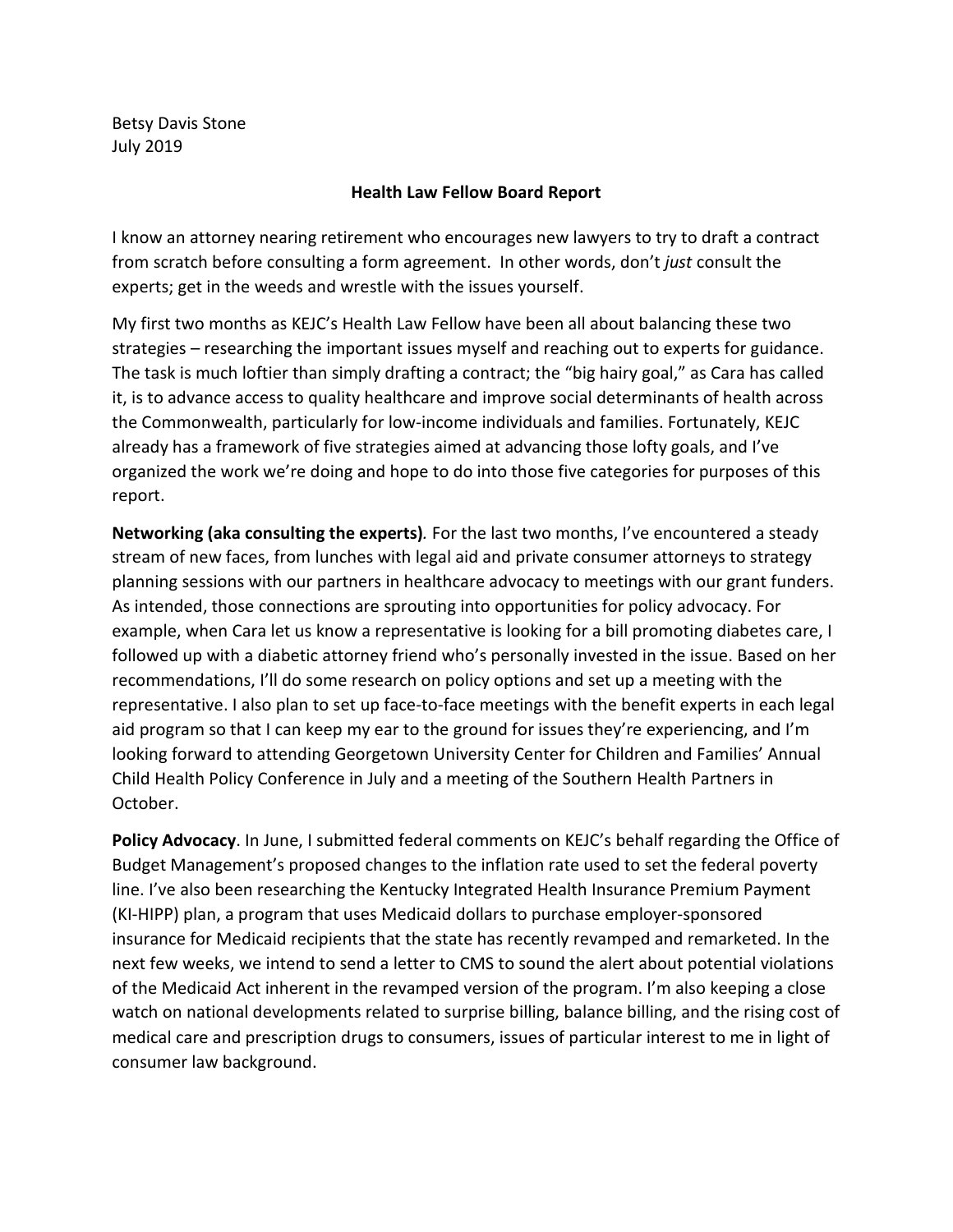Betsy Davis Stone July 2019

## **Health Law Fellow Board Report**

I know an attorney nearing retirement who encourages new lawyers to try to draft a contract from scratch before consulting a form agreement. In other words, don't *just* consult the experts; get in the weeds and wrestle with the issues yourself.

My first two months as KEJC's Health Law Fellow have been all about balancing these two strategies – researching the important issues myself and reaching out to experts for guidance. The task is much loftier than simply drafting a contract; the "big hairy goal," as Cara has called it, is to advance access to quality healthcare and improve social determinants of health across the Commonwealth, particularly for low-income individuals and families. Fortunately, KEJC already has a framework of five strategies aimed at advancing those lofty goals, and I've organized the work we're doing and hope to do into those five categories for purposes of this report.

**Networking (aka consulting the experts)***.* For the last two months, I've encountered a steady stream of new faces, from lunches with legal aid and private consumer attorneys to strategy planning sessions with our partners in healthcare advocacy to meetings with our grant funders. As intended, those connections are sprouting into opportunities for policy advocacy. For example, when Cara let us know a representative is looking for a bill promoting diabetes care, I followed up with a diabetic attorney friend who's personally invested in the issue. Based on her recommendations, I'll do some research on policy options and set up a meeting with the representative. I also plan to set up face-to-face meetings with the benefit experts in each legal aid program so that I can keep my ear to the ground for issues they're experiencing, and I'm looking forward to attending Georgetown University Center for Children and Families' Annual Child Health Policy Conference in July and a meeting of the Southern Health Partners in October.

**Policy Advocacy**. In June, I submitted federal comments on KEJC's behalf regarding the Office of Budget Management's proposed changes to the inflation rate used to set the federal poverty line. I've also been researching the Kentucky Integrated Health Insurance Premium Payment (KI-HIPP) plan, a program that uses Medicaid dollars to purchase employer-sponsored insurance for Medicaid recipients that the state has recently revamped and remarketed. In the next few weeks, we intend to send a letter to CMS to sound the alert about potential violations of the Medicaid Act inherent in the revamped version of the program. I'm also keeping a close watch on national developments related to surprise billing, balance billing, and the rising cost of medical care and prescription drugs to consumers, issues of particular interest to me in light of consumer law background.